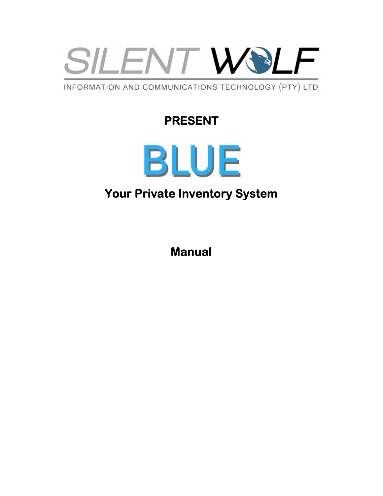

INFORMATION AND COMMUNICATIONS TECHNOLOGY (PTY) LTD

# PRESENT



# Your Private Inventory System

Manual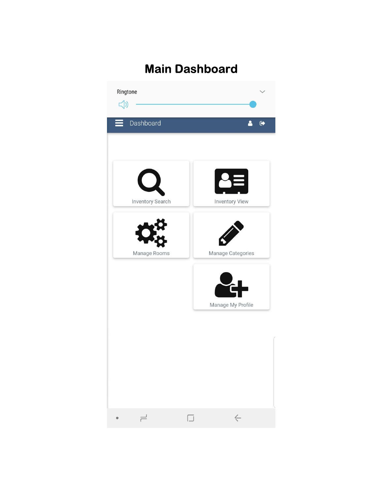# Main Dashboard

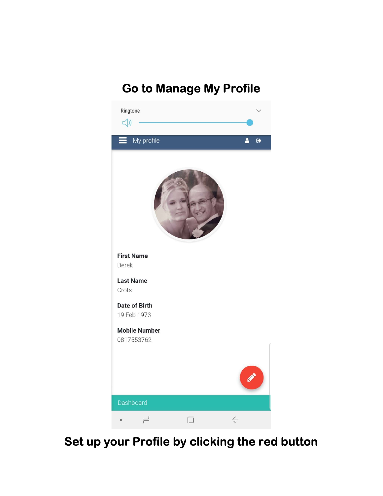# Go to Manage My Profile



# Set up your Profile by clicking the red button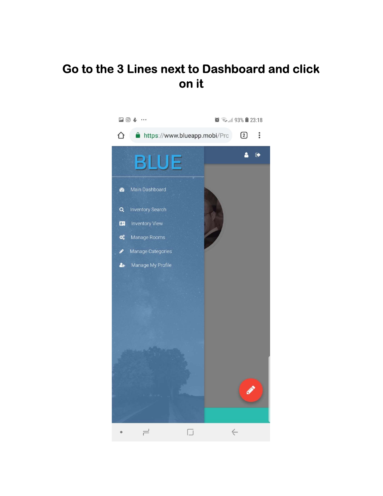#### Go to the 3 Lines next to Dashboard and click on it

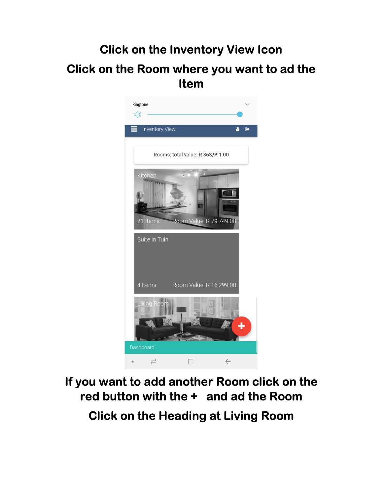# Click on the Inventory View Icon Click on the Room where you want to ad the Item



# If you want to add another Room click on the red button with the + and ad the Room Click on the Heading at Living Room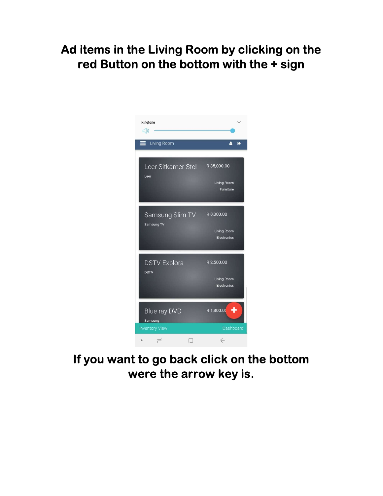## Ad items in the Living Room by clicking on the red Button on the bottom with the + sign



# If you want to go back click on the bottom were the arrow key is.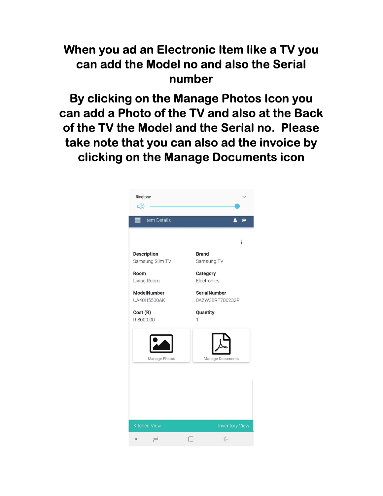#### When you ad an Electronic Item like a TV you can add the Model no and also the Serial number

By clicking on the Manage Photos Icon you can add a Photo of the TV and also at the Back of the TV the Model and the Serial no. Please take note that you can also ad the invoice by clicking on the Manage Documents icon

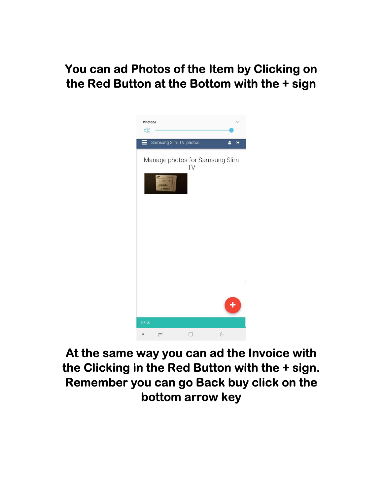## You can ad Photos of the Item by Clicking on the Red Button at the Bottom with the + sign



# At the same way you can ad the Invoice with the Clicking in the Red Button with the + sign. Remember you can go Back buy click on the bottom arrow key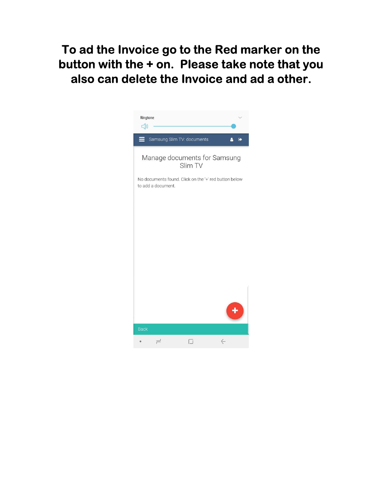To ad the Invoice go to the Red marker on the button with the + on. Please take note that you also can delete the Invoice and ad a other.

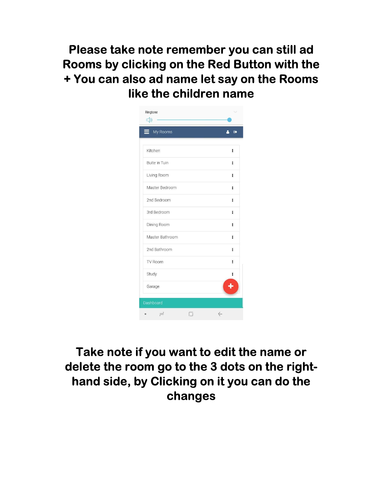Please take note remember you can still ad Rooms by clicking on the Red Button with the + You can also ad name let say on the Rooms like the children name

| Ringtone<br><(b) |              |
|------------------|--------------|
| My Rooms         | $\bullet$    |
| Kitchen          | ŧ            |
| Buite in Tuin    | i.           |
| Living Room      | ŧ            |
| Master Bedroom   | î.           |
| 2nd Bedroom      | l.           |
| 3rd Bedroom      | Ĩ.           |
| Dining Room      | ŧ.           |
| Master Bathroom  | ï            |
| 2nd Bathroom     | ï            |
| TV Room          | ï            |
| Study            | ï            |
| Garage           |              |
| Dashboard        |              |
| ≓                | $\leftarrow$ |

# Take note if you want to edit the name or delete the room go to the 3 dots on the righthand side, by Clicking on it you can do the changes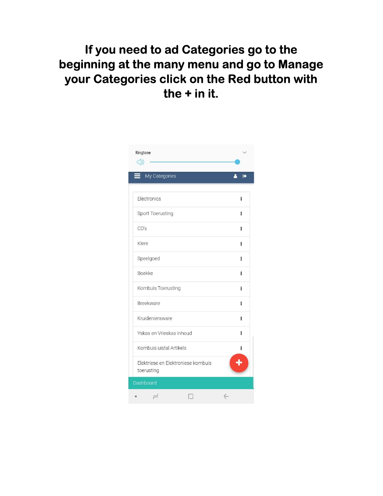# If you need to ad Categories go to the beginning at the many menu and go to Manage your Categories click on the Red button with the + in it.

| Ringtone<br>$\leq$ ()                            |              |  |
|--------------------------------------------------|--------------|--|
| My Categories                                    | $\bullet$    |  |
| Electronics                                      | i            |  |
| Sport Toerusting                                 | ï            |  |
| CD's                                             | ŧ            |  |
| Klere                                            | Ĩ.           |  |
| Speelgoed                                        | ŧ            |  |
| <b>Boekke</b>                                    | ï            |  |
| Kombuis Toerusting                               | ŧ            |  |
| Breekware                                        | ı            |  |
| Kruideniersware                                  | ŧ            |  |
| Yskas en Vrieskas inhoud                         | i            |  |
| Kombuis uistal Artikels                          | i            |  |
| Elektriese en Elektroniese kombuis<br>toerusting |              |  |
| Dashboard                                        |              |  |
|                                                  | $\leftarrow$ |  |